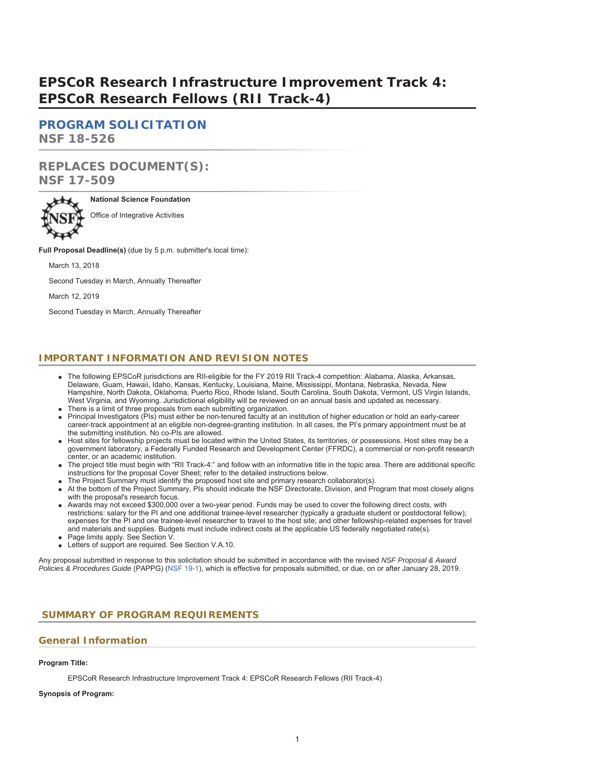# **EPSCoR Research Infrastructure Improvement Track 4: EPSCoR Research Fellows (RII Track-4)**

**PROGRAM SOLICITATION NSF 18-526**

**REPLACES DOCUMENT(S): NSF 17-509**



### **National Science Foundation**

Office of Integrative Activities

**Full Proposal Deadline(s)** (due by 5 p.m. submitter's local time):

March 13, 2018

Second Tuesday in March, Annually Thereafter

March 12, 2019

Second Tuesday in March, Annually Thereafter

# **IMPORTANT INFORMATION AND REVISION NOTES**

- The following EPSCoR jurisdictions are RII-eligible for the FY 2019 RII Track-4 competition: Alabama, Alaska, Arkansas, Delaware, Guam, Hawaii, Idaho, Kansas, Kentucky, Louisiana, Maine, Mississippi, Montana, Nebraska, Nevada, New Hampshire, North Dakota, Oklahoma, Puerto Rico, Rhode Island, South Carolina, South Dakota, Vermont, US Virgin Islands, West Virginia, and Wyoming. Jurisdictional eligibility will be reviewed on an annual basis and updated as necessary.
- There is a limit of three proposals from each submitting organization.
- Principal Investigators (PIs) must either be non-tenured faculty at an institution of higher education or hold an early-career career-track appointment at an eligible non-degree-granting institution. In all cases, the PI's primary appointment must be at the submitting institution. No co-PIs are allowed.
- Host sites for fellowship projects must be located within the United States, its territories, or possessions. Host sites may be a government laboratory, a Federally Funded Research and Development Center (FFRDC), a commercial or non-profit research center, or an academic institution.
- The project title must begin with "RII Track-4:" and follow with an informative title in the topic area. There are additional specific instructions for the proposal Cover Sheet; refer to the detailed instructions below.
- The Project Summary must identify the proposed host site and primary research collaborator(s).
- At the bottom of the Project Summary, PIs should indicate the NSF Directorate, Division, and Program that most closely aligns with the proposal's research focus.
- Awards may not exceed \$300,000 over a two-year period. Funds may be used to cover the following direct costs, with restrictions: salary for the PI and one additional trainee-level researcher (typically a graduate student or postdoctoral fellow); expenses for the PI and one trainee-level researcher to travel to the host site; and other fellowship-related expenses for travel and materials and supplies. Budgets must include indirect costs at the applicable US federally negotiated rate(s).
- Page limits apply. See Section V.
- Letters of support are required. See Section V.A.10.

Any proposal submitted in response to this solicitation should be submitted in accordance with the revised *NSF Proposal & Award Policies & Procedures Guide* (PAPPG) (NSF 19-1), which is effective for proposals submitted, or due, on or after January 28, 2019.

# **SUMMARY OF PROGRAM REQUIREMENTS**

# **General Information**

### **Program Title:**

EPSCoR Research Infrastructure Improvement Track 4: EPSCoR Research Fellows (RII Track-4)

### **Synopsis of Program:**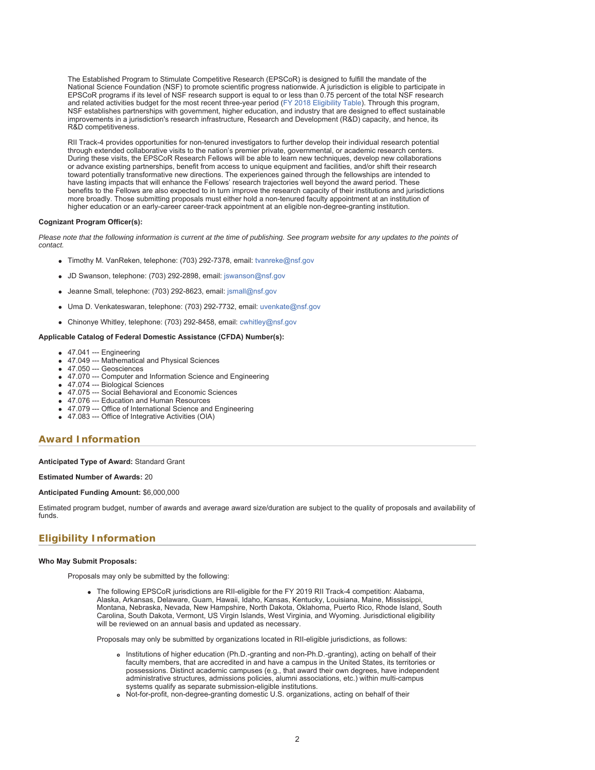The Established Program to Stimulate Competitive Research (EPSCoR) is designed to fulfill the mandate of the National Science Foundation (NSF) to promote scientific progress nationwide. A jurisdiction is eligible to participate in EPSCoR programs if its level of NSF research support is equal to or less than 0.75 percent of the total NSF research and related activities budget for the most recent three-year period (FY 2018 Eligibility Table). Through this program, NSF establishes partnerships with government, higher education, and industry that are designed to effect sustainable improvements in a jurisdiction's research infrastructure, Research and Development (R&D) capacity, and hence, its R&D competitiveness.

RII Track-4 provides opportunities for non-tenured investigators to further develop their individual research potential through extended collaborative visits to the nation's premier private, governmental, or academic research centers. During these visits, the EPSCoR Research Fellows will be able to learn new techniques, develop new collaborations or advance existing partnerships, benefit from access to unique equipment and facilities, and/or shift their research toward potentially transformative new directions. The experiences gained through the fellowships are intended to have lasting impacts that will enhance the Fellows' research trajectories well beyond the award period. These benefits to the Fellows are also expected to in turn improve the research capacity of their institutions and jurisdictions more broadly. Those submitting proposals must either hold a non-tenured faculty appointment at an institution of higher education or an early-career career-track appointment at an eligible non-degree-granting institution.

#### **Cognizant Program Officer(s):**

*Please note that the following information is current at the time of publishing. See program website for any updates to the points of contact.*

- Timothy M. VanReken, telephone: (703) 292-7378, email: tvanreke@nsf.gov
- JD Swanson, telephone: (703) 292-2898, email: jswanson@nsf.gov
- Jeanne Small, telephone: (703) 292-8623, email: jsmall@nsf.gov
- Uma D. Venkateswaran, telephone: (703) 292-7732, email: uvenkate@nsf.gov
- Chinonye Whitley, telephone: (703) 292-8458, email: cwhitley@nsf.gov

### **Applicable Catalog of Federal Domestic Assistance (CFDA) Number(s):**

- 47.041 --- Engineering
- 47.049 --- Mathematical and Physical Sciences
- $\bullet$  47.050 --- Geosciences
- 47.070 --- Computer and Information Science and Engineering
- 47.074 --- Biological Sciences
- 47.075 --- Social Behavioral and Economic Sciences
- 47.076 --- Education and Human Resources
- 47.079 --- Office of International Science and Engineering
- 47.083 --- Office of Integrative Activities (OIA)

# **Award Information**

#### **Anticipated Type of Award:** Standard Grant

### **Estimated Number of Awards:** 20

### **Anticipated Funding Amount:** \$6,000,000

Estimated program budget, number of awards and average award size/duration are subject to the quality of proposals and availability of funds.

### **Eligibility Information**

#### **Who May Submit Proposals:**

Proposals may only be submitted by the following:

The following EPSCoR jurisdictions are RII-eligible for the FY 2019 RII Track-4 competition: Alabama, Alaska, Arkansas, Delaware, Guam, Hawaii, Idaho, Kansas, Kentucky, Louisiana, Maine, Mississippi, Montana, Nebraska, Nevada, New Hampshire, North Dakota, Oklahoma, Puerto Rico, Rhode Island, South Carolina, South Dakota, Vermont, US Virgin Islands, West Virginia, and Wyoming. Jurisdictional eligibility will be reviewed on an annual basis and updated as necessary.

Proposals may only be submitted by organizations located in RII-eligible jurisdictions, as follows:

- Institutions of higher education (Ph.D.-granting and non-Ph.D.-granting), acting on behalf of their faculty members, that are accredited in and have a campus in the United States, its territories or possessions. Distinct academic campuses (e.g., that award their own degrees, have independent administrative structures, admissions policies, alumni associations, etc.) within multi-campus systems qualify as separate submission-eligible institutions.
- Not-for-profit, non-degree-granting domestic U.S. organizations, acting on behalf of their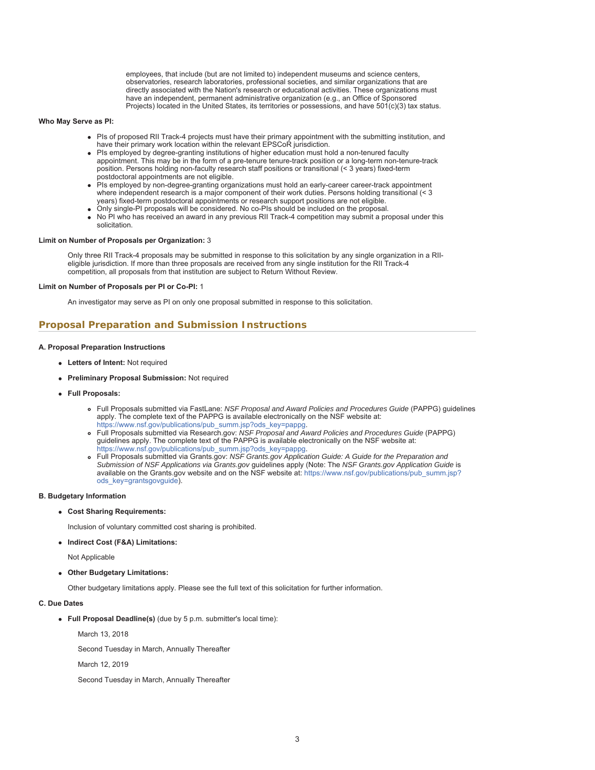employees, that include (but are not limited to) independent museums and science centers, observatories, research laboratories, professional societies, and similar organizations that are directly associated with the Nation's research or educational activities. These organizations must have an independent, permanent administrative organization (e.g., an Office of Sponsored Projects) located in the United States, its territories or possessions, and have 501(c)(3) tax status.

### **Who May Serve as PI:**

- PIs of proposed RII Track-4 projects must have their primary appointment with the submitting institution, and have their primary work location within the relevant EPSCoR jurisdiction.
- PIs employed by degree-granting institutions of higher education must hold a non-tenured faculty appointment. This may be in the form of a pre-tenure tenure-track position or a long-term non-tenure-track position. Persons holding non-faculty research staff positions or transitional (< 3 years) fixed-term postdoctoral appointments are not eligible.
- PIs employed by non-degree-granting organizations must hold an early-career career-track appointment where independent research is a major component of their work duties. Persons holding transitional (< 3 years) fixed-term postdoctoral appointments or research support positions are not eligible.
- Only single-PI proposals will be considered. No co-PIs should be included on the proposal.
- No PI who has received an award in any previous RII Track-4 competition may submit a proposal under this solicitation.

### **Limit on Number of Proposals per Organization:** 3

Only three RII Track-4 proposals may be submitted in response to this solicitation by any single organization in a RIIeligible jurisdiction. If more than three proposals are received from any single institution for the RII Track-4 competition, all proposals from that institution are subject to Return Without Review.

### **Limit on Number of Proposals per PI or Co-PI:** 1

An investigator may serve as PI on only one proposal submitted in response to this solicitation.

# **Proposal Preparation and Submission Instructions**

### **A. Proposal Preparation Instructions**

- **Letters of Intent:** Not required
- **Preliminary Proposal Submission:** Not required
- **Full Proposals:**
	- Full Proposals submitted via FastLane: *NSF Proposal and Award Policies and Procedures Guide* (PAPPG) guidelines apply. The complete text of the PAPPG is available electronically on the NSF website at: https://www.nsf.gov/publications/pub\_summ.jsp?ods\_key=pappg.
	- Full Proposals submitted via Research.gov: *NSF Proposal and Award Policies and Procedures Guide* (PAPPG) guidelines apply. The complete text of the PAPPG is available electronically on the NSF website at: https://www.nsf.gov/publications/pub\_summ.jsp?ods\_key=pappg.
	- Full Proposals submitted via Grants.gov: *NSF Grants.gov Application Guide: A Guide for the Preparation and Submission of NSF Applications via Grants.gov* guidelines apply (Note: The *NSF Grants.gov Application Guide* is available on the Grants.gov website and on the NSF website at: https://www.nsf.gov/publications/pub\_summ.jsp? ods\_key=grantsgovguide).

### **B. Budgetary Information**

**Cost Sharing Requirements:**

Inclusion of voluntary committed cost sharing is prohibited.

### **Indirect Cost (F&A) Limitations:**

Not Applicable

**Other Budgetary Limitations:**

Other budgetary limitations apply. Please see the full text of this solicitation for further information.

### **C. Due Dates**

**Full Proposal Deadline(s)** (due by 5 p.m. submitter's local time):

March 13, 2018

Second Tuesday in March, Annually Thereafter

March 12, 2019

Second Tuesday in March, Annually Thereafter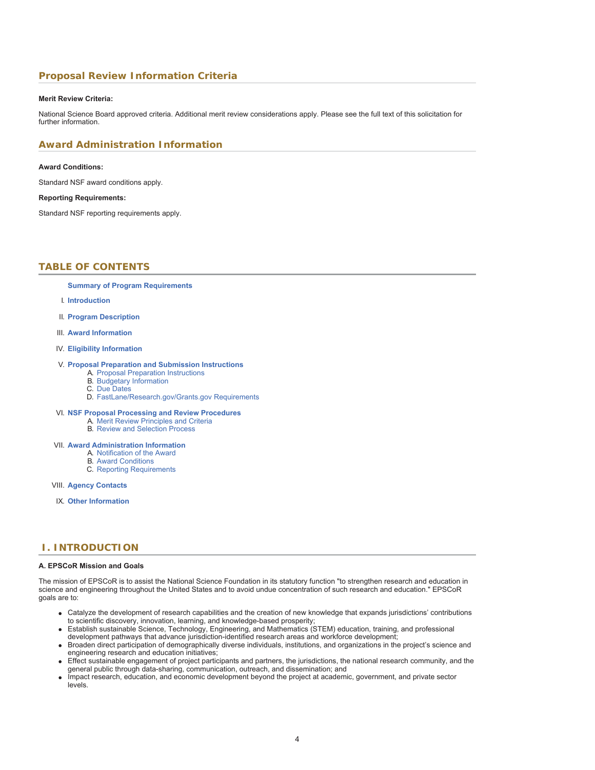# **Proposal Review Information Criteria**

#### **Merit Review Criteria:**

National Science Board approved criteria. Additional merit review considerations apply. Please see the full text of this solicitation for further information.

# **Award Administration Information**

### **Award Conditions:**

Standard NSF award conditions apply.

#### **Reporting Requirements:**

Standard NSF reporting requirements apply.

# **TABLE OF CONTENTS**

### **Summary of Program Requirements**

- I. **Introduction**
- II. **Program Description**
- III. **Award Information**
- IV. **Eligibility Information**

#### V. **Proposal Preparation and Submission Instructions**

- A. Proposal Preparation Instructions
- B. Budgetary Information
- C. Due Dates
- D. FastLane/Research.gov/Grants.gov Requirements

### VI. **NSF Proposal Processing and Review Procedures**

- A. Merit Review Principles and Criteria
- B. Review and Selection Process

### VII. **Award Administration Information**

- A. Notification of the Award
- B. Award Conditions C. Reporting Requirements
- VIII. **Agency Contacts**
- IX. **Other Information**

### **I. INTRODUCTION**

#### **A. EPSCoR Mission and Goals**

The mission of EPSCoR is to assist the National Science Foundation in its statutory function "to strengthen research and education in science and engineering throughout the United States and to avoid undue concentration of such research and education." EPSCoR goals are to:

- Catalyze the development of research capabilities and the creation of new knowledge that expands jurisdictions' contributions to scientific discovery, innovation, learning, and knowledge-based prosperity;
- Establish sustainable Science, Technology, Engineering, and Mathematics (STEM) education, training, and professional development pathways that advance jurisdiction-identified research areas and workforce development;
- Broaden direct participation of demographically diverse individuals, institutions, and organizations in the project's science and engineering research and education initiatives;
- Effect sustainable engagement of project participants and partners, the jurisdictions, the national research community, and the general public through data-sharing, communication, outreach, and dissemination; and
- Impact research, education, and economic development beyond the project at academic, government, and private sector levels.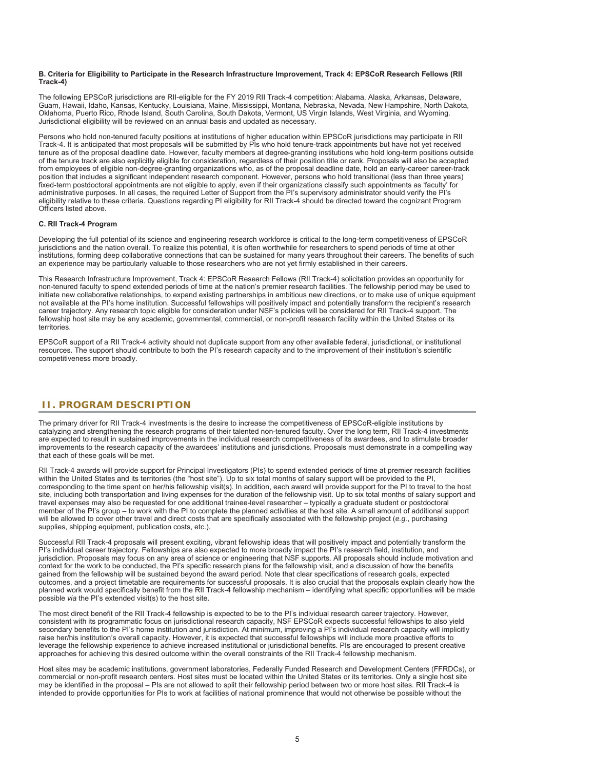#### **B. Criteria for Eligibility to Participate in the Research Infrastructure Improvement, Track 4: EPSCoR Research Fellows (RII Track-4)**

The following EPSCoR jurisdictions are RII-eligible for the FY 2019 RII Track-4 competition: Alabama, Alaska, Arkansas, Delaware, Guam, Hawaii, Idaho, Kansas, Kentucky, Louisiana, Maine, Mississippi, Montana, Nebraska, Nevada, New Hampshire, North Dakota, Oklahoma, Puerto Rico, Rhode Island, South Carolina, South Dakota, Vermont, US Virgin Islands, West Virginia, and Wyoming. Jurisdictional eligibility will be reviewed on an annual basis and updated as necessary.

Persons who hold non-tenured faculty positions at institutions of higher education within EPSCoR jurisdictions may participate in RII Track-4. It is anticipated that most proposals will be submitted by PIs who hold tenure-track appointments but have not yet received tenure as of the proposal deadline date. However, faculty members at degree-granting institutions who hold long-term positions outside of the tenure track are also explicitly eligible for consideration, regardless of their position title or rank. Proposals will also be accepted from employees of eligible non-degree-granting organizations who, as of the proposal deadline date, hold an early-career career-track position that includes a significant independent research component. However, persons who hold transitional (less than three years) fixed-term postdoctoral appointments are not eligible to apply, even if their organizations classify such appointments as 'faculty' for administrative purposes. In all cases, the required Letter of Support from the PI's supervisory administrator should verify the PI's eligibility relative to these criteria. Questions regarding PI eligibility for RII Track-4 should be directed toward the cognizant Program Officers listed above.

### **C. RII Track-4 Program**

Developing the full potential of its science and engineering research workforce is critical to the long-term competitiveness of EPSCoR jurisdictions and the nation overall. To realize this potential, it is often worthwhile for researchers to spend periods of time at other institutions, forming deep collaborative connections that can be sustained for many years throughout their careers. The benefits of such an experience may be particularly valuable to those researchers who are not yet firmly established in their careers.

This Research Infrastructure Improvement, Track 4: EPSCoR Research Fellows (RII Track-4) solicitation provides an opportunity for non-tenured faculty to spend extended periods of time at the nation's premier research facilities. The fellowship period may be used to initiate new collaborative relationships, to expand existing partnerships in ambitious new directions, or to make use of unique equipment not available at the PI's home institution. Successful fellowships will positively impact and potentially transform the recipient's research career trajectory. Any research topic eligible for consideration under NSF's policies will be considered for RII Track-4 support. The fellowship host site may be any academic, governmental, commercial, or non-profit research facility within the United States or its territories.

EPSCoR support of a RII Track-4 activity should not duplicate support from any other available federal, jurisdictional, or institutional resources. The support should contribute to both the PI's research capacity and to the improvement of their institution's scientific competitiveness more broadly.

# **II. PROGRAM DESCRIPTION**

The primary driver for RII Track-4 investments is the desire to increase the competitiveness of EPSCoR-eligible institutions by catalyzing and strengthening the research programs of their talented non-tenured faculty. Over the long term, RII Track-4 investments are expected to result in sustained improvements in the individual research competitiveness of its awardees, and to stimulate broader improvements to the research capacity of the awardees' institutions and jurisdictions. Proposals must demonstrate in a compelling way that each of these goals will be met.

RII Track-4 awards will provide support for Principal Investigators (PIs) to spend extended periods of time at premier research facilities within the United States and its territories (the "host site"). Up to six total months of salary support will be provided to the PI, corresponding to the time spent on her/his fellowship visit(s). In addition, each award will provide support for the PI to travel to the host site, including both transportation and living expenses for the duration of the fellowship visit. Up to six total months of salary support and travel expenses may also be requested for one additional trainee-level researcher – typically a graduate student or postdoctoral member of the PI's group – to work with the PI to complete the planned activities at the host site. A small amount of additional support will be allowed to cover other travel and direct costs that are specifically associated with the fellowship project (*e.g.*, purchasing supplies, shipping equipment, publication costs, etc.).

Successful RII Track-4 proposals will present exciting, vibrant fellowship ideas that will positively impact and potentially transform the PI's individual career trajectory. Fellowships are also expected to more broadly impact the PI's research field, institution, and jurisdiction. Proposals may focus on any area of science or engineering that NSF supports. All proposals should include motivation and context for the work to be conducted, the PI's specific research plans for the fellowship visit, and a discussion of how the benefits gained from the fellowship will be sustained beyond the award period. Note that clear specifications of research goals, expected outcomes, and a project timetable are requirements for successful proposals. It is also crucial that the proposals explain clearly how the planned work would specifically benefit from the RII Track-4 fellowship mechanism – identifying what specific opportunities will be made possible *via* the PI's extended visit(s) to the host site.

The most direct benefit of the RII Track-4 fellowship is expected to be to the PI's individual research career trajectory. However, consistent with its programmatic focus on jurisdictional research capacity, NSF EPSCoR expects successful fellowships to also yield secondary benefits to the PI's home institution and jurisdiction. At minimum, improving a PI's individual research capacity will implicitly raise her/his institution's overall capacity. However, it is expected that successful fellowships will include more proactive efforts to leverage the fellowship experience to achieve increased institutional or jurisdictional benefits. PIs are encouraged to present creative approaches for achieving this desired outcome within the overall constraints of the RII Track-4 fellowship mechanism.

Host sites may be academic institutions, government laboratories, Federally Funded Research and Development Centers (FFRDCs), or commercial or non-profit research centers. Host sites must be located within the United States or its territories. Only a single host site may be identified in the proposal – PIs are not allowed to split their fellowship period between two or more host sites. RII Track-4 is intended to provide opportunities for PIs to work at facilities of national prominence that would not otherwise be possible without the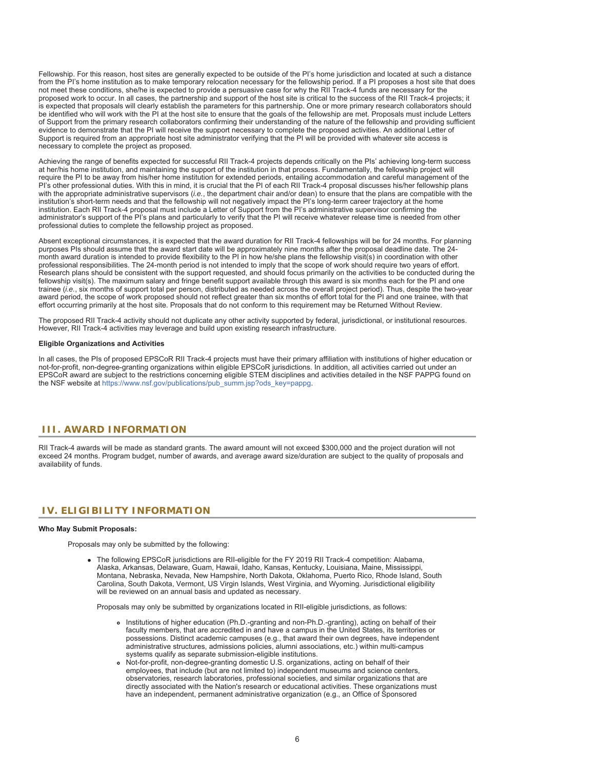Fellowship. For this reason, host sites are generally expected to be outside of the PI's home jurisdiction and located at such a distance from the PI's home institution as to make temporary relocation necessary for the fellowship period. If a PI proposes a host site that does not meet these conditions, she/he is expected to provide a persuasive case for why the RII Track-4 funds are necessary for the proposed work to occur. In all cases, the partnership and support of the host site is critical to the success of the RII Track-4 projects; it is expected that proposals will clearly establish the parameters for this partnership. One or more primary research collaborators should be identified who will work with the PI at the host site to ensure that the goals of the fellowship are met. Proposals must include Letters of Support from the primary research collaborators confirming their understanding of the nature of the fellowship and providing sufficient evidence to demonstrate that the PI will receive the support necessary to complete the proposed activities. An additional Letter of Support is required from an appropriate host site administrator verifying that the PI will be provided with whatever site access is necessary to complete the project as proposed.

Achieving the range of benefits expected for successful RII Track-4 projects depends critically on the PIs' achieving long-term success at her/his home institution, and maintaining the support of the institution in that process. Fundamentally, the fellowship project will require the PI to be away from his/her home institution for extended periods, entailing accommodation and careful management of the PI's other professional duties. With this in mind, it is crucial that the PI of each RII Track-4 proposal discusses his/her fellowship plans with the appropriate administrative supervisors (*i.e.*, the department chair and/or dean) to ensure that the plans are compatible with the institution's short-term needs and that the fellowship will not negatively impact the PI's long-term career trajectory at the home institution. Each RII Track-4 proposal must include a Letter of Support from the PI's administrative supervisor confirming the administrator's support of the PI's plans and particularly to verify that the PI will receive whatever release time is needed from other professional duties to complete the fellowship project as proposed.

Absent exceptional circumstances, it is expected that the award duration for RII Track-4 fellowships will be for 24 months. For planning purposes PIs should assume that the award start date will be approximately nine months after the proposal deadline date. The 24 month award duration is intended to provide flexibility to the PI in how he/she plans the fellowship visit(s) in coordination with other professional responsibilities. The 24-month period is not intended to imply that the scope of work should require two years of effort. Research plans should be consistent with the support requested, and should focus primarily on the activities to be conducted during the fellowship visit(s). The maximum salary and fringe benefit support available through this award is six months each for the PI and one trainee (*i.e.*, six months of support total per person, distributed as needed across the overall project period). Thus, despite the two-year award period, the scope of work proposed should not reflect greater than six months of effort total for the PI and one trainee, with that effort occurring primarily at the host site. Proposals that do not conform to this requirement may be Returned Without Review.

The proposed RII Track-4 activity should not duplicate any other activity supported by federal, jurisdictional, or institutional resources. However, RII Track-4 activities may leverage and build upon existing research infrastructure.

### **Eligible Organizations and Activities**

In all cases, the PIs of proposed EPSCoR RII Track-4 projects must have their primary affiliation with institutions of higher education or not-for-profit, non-degree-granting organizations within eligible EPSCoR jurisdictions. In addition, all activities carried out under an EPSCoR award are subject to the restrictions concerning eligible STEM disciplines and activities detailed in the NSF PAPPG found on the NSF website at https://www.nsf.gov/publications/pub\_summ.jsp?ods\_key=pappg.

# **III. AWARD INFORMATION**

RII Track-4 awards will be made as standard grants. The award amount will not exceed \$300,000 and the project duration will not exceed 24 months. Program budget, number of awards, and average award size/duration are subject to the quality of proposals and availability of funds.

# **IV. ELIGIBILITY INFORMATION**

#### **Who May Submit Proposals:**

Proposals may only be submitted by the following:

The following EPSCoR jurisdictions are RII-eligible for the FY 2019 RII Track-4 competition: Alabama, Alaska, Arkansas, Delaware, Guam, Hawaii, Idaho, Kansas, Kentucky, Louisiana, Maine, Mississippi, Montana, Nebraska, Nevada, New Hampshire, North Dakota, Oklahoma, Puerto Rico, Rhode Island, South Carolina, South Dakota, Vermont, US Virgin Islands, West Virginia, and Wyoming. Jurisdictional eligibility will be reviewed on an annual basis and updated as necessary.

Proposals may only be submitted by organizations located in RII-eligible jurisdictions, as follows:

- Institutions of higher education (Ph.D.-granting and non-Ph.D.-granting), acting on behalf of their faculty members, that are accredited in and have a campus in the United States, its territories or possessions. Distinct academic campuses (e.g., that award their own degrees, have independent administrative structures, admissions policies, alumni associations, etc.) within multi-campus systems qualify as separate submission-eligible institutions.
- Not-for-profit, non-degree-granting domestic U.S. organizations, acting on behalf of their employees, that include (but are not limited to) independent museums and science centers, observatories, research laboratories, professional societies, and similar organizations that are directly associated with the Nation's research or educational activities. These organizations must have an independent, permanent administrative organization (e.g., an Office of Sponsored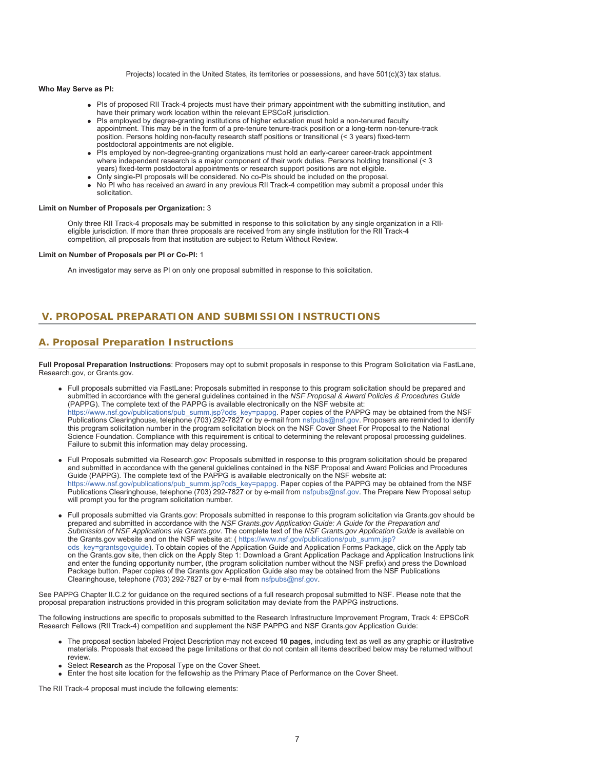Projects) located in the United States, its territories or possessions, and have 501(c)(3) tax status.

#### **Who May Serve as PI:**

- PIs of proposed RII Track-4 projects must have their primary appointment with the submitting institution, and have their primary work location within the relevant EPSCoR jurisdiction.
- PIs employed by degree-granting institutions of higher education must hold a non-tenured faculty appointment. This may be in the form of a pre-tenure tenure-track position or a long-term non-tenure-track position. Persons holding non-faculty research staff positions or transitional (< 3 years) fixed-term postdoctoral appointments are not eligible.
- PIs employed by non-degree-granting organizations must hold an early-career career-track appointment where independent research is a major component of their work duties. Persons holding transitional (< 3 years) fixed-term postdoctoral appointments or research support positions are not eligible.
- Only single-PI proposals will be considered. No co-PIs should be included on the proposal.
- No PI who has received an award in any previous RII Track-4 competition may submit a proposal under this solicitation.

### **Limit on Number of Proposals per Organization:** 3

Only three RII Track-4 proposals may be submitted in response to this solicitation by any single organization in a RIIeligible jurisdiction. If more than three proposals are received from any single institution for the RII Track-4 competition, all proposals from that institution are subject to Return Without Review.

#### **Limit on Number of Proposals per PI or Co-PI:** 1

An investigator may serve as PI on only one proposal submitted in response to this solicitation.

# **V. PROPOSAL PREPARATION AND SUBMISSION INSTRUCTIONS**

# **A. Proposal Preparation Instructions**

**Full Proposal Preparation Instructions**: Proposers may opt to submit proposals in response to this Program Solicitation via FastLane, Research.gov, or Grants.gov.

- Full proposals submitted via FastLane: Proposals submitted in response to this program solicitation should be prepared and submitted in accordance with the general guidelines contained in the *NSF Proposal & Award Policies & Procedures Guide* (PAPPG). The complete text of the PAPPG is available electronically on the NSF website at: https://www.nsf.gov/publications/pub\_summ.jsp?ods\_key=pappg. Paper copies of the PAPPG may be obtained from the NSF Publications Clearinghouse, telephone (703) 292-7827 or by e-mail from nsfpubs@nsf.gov. Proposers are reminded to identify this program solicitation number in the program solicitation block on the NSF Cover Sheet For Proposal to the National Science Foundation. Compliance with this requirement is critical to determining the relevant proposal processing guidelines. Failure to submit this information may delay processing.
- Full Proposals submitted via Research.gov: Proposals submitted in response to this program solicitation should be prepared and submitted in accordance with the general guidelines contained in the NSF Proposal and Award Policies and Procedures Guide (PAPPG). The complete text of the PAPPG is available electronically on the NSF website at: https://www.nsf.gov/publications/pub\_summ.jsp?ods\_key=pappg. Paper copies of the PAPPG may be obtained from the NSF Publications Clearinghouse, telephone (703) 292-7827 or by e-mail from nsfpubs@nsf.gov. The Prepare New Proposal setup will prompt you for the program solicitation number.
- Full proposals submitted via Grants.gov: Proposals submitted in response to this program solicitation via Grants.gov should be prepared and submitted in accordance with the *NSF Grants.gov Application Guide: A Guide for the Preparation and Submission of NSF Applications via Grants.gov*. The complete text of the *NSF Grants.gov Application Guide* is available on the Grants.gov website and on the NSF website at: ( https://www.nsf.gov/publications/pub\_summ.jsp? ods\_key=grantsgovguide). To obtain copies of the Application Guide and Application Forms Package, click on the Apply tab on the Grants.gov site, then click on the Apply Step 1: Download a Grant Application Package and Application Instructions link and enter the funding opportunity number, (the program solicitation number without the NSF prefix) and press the Download Package button. Paper copies of the Grants.gov Application Guide also may be obtained from the NSF Publications Clearinghouse, telephone (703) 292-7827 or by e-mail from nsfpubs@nsf.gov.

See PAPPG Chapter II.C.2 for guidance on the required sections of a full research proposal submitted to NSF. Please note that the proposal preparation instructions provided in this program solicitation may deviate from the PAPPG instructions.

The following instructions are specific to proposals submitted to the Research Infrastructure Improvement Program, Track 4: EPSCoR Research Fellows (RII Track-4) competition and supplement the NSF PAPPG and NSF Grants.gov Application Guide:

- The proposal section labeled Project Description may not exceed **10 pages**, including text as well as any graphic or illustrative materials. Proposals that exceed the page limitations or that do not contain all items described below may be returned without review.
- Select **Research** as the Proposal Type on the Cover Sheet.
- Enter the host site location for the fellowship as the Primary Place of Performance on the Cover Sheet.

The RII Track-4 proposal must include the following elements: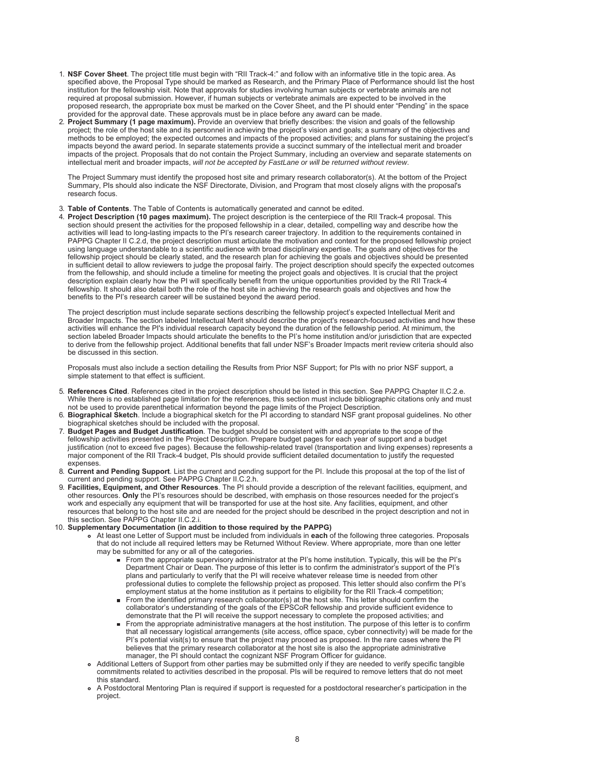- 1. **NSF Cover Sheet**. The project title must begin with "RII Track-4:" and follow with an informative title in the topic area. As specified above, the Proposal Type should be marked as Research, and the Primary Place of Performance should list the host institution for the fellowship visit. Note that approvals for studies involving human subjects or vertebrate animals are not required at proposal submission. However, if human subjects or vertebrate animals are expected to be involved in the proposed research, the appropriate box must be marked on the Cover Sheet, and the PI should enter "Pending" in the space provided for the approval date. These approvals must be in place before any award can be made.
- 2. **Project Summary (1 page maximum).** Provide an overview that briefly describes: the vision and goals of the fellowship project; the role of the host site and its personnel in achieving the project's vision and goals; a summary of the objectives and methods to be employed; the expected outcomes and impacts of the proposed activities; and plans for sustaining the project's impacts beyond the award period. In separate statements provide a succinct summary of the intellectual merit and broader impacts of the project. Proposals that do not contain the Project Summary, including an overview and separate statements on intellectual merit and broader impacts, *will not be accepted by FastLane or will be returned without review*.

The Project Summary must identify the proposed host site and primary research collaborator(s). At the bottom of the Project Summary, PIs should also indicate the NSF Directorate, Division, and Program that most closely aligns with the proposal's research focus.

3. **Table of Contents**. The Table of Contents is automatically generated and cannot be edited.

4. **Project Description (10 pages maximum).** The project description is the centerpiece of the RII Track-4 proposal. This section should present the activities for the proposed fellowship in a clear, detailed, compelling way and describe how the activities will lead to long-lasting impacts to the PI's research career trajectory. In addition to the requirements contained in PAPPG Chapter II C.2.d, the project description must articulate the motivation and context for the proposed fellowship project using language understandable to a scientific audience with broad disciplinary expertise. The goals and objectives for the fellowship project should be clearly stated, and the research plan for achieving the goals and objectives should be presented in sufficient detail to allow reviewers to judge the proposal fairly. The project description should specify the expected outcomes from the fellowship, and should include a timeline for meeting the project goals and objectives. It is crucial that the project description explain clearly how the PI will specifically benefit from the unique opportunities provided by the RII Track-4 fellowship. It should also detail both the role of the host site in achieving the research goals and objectives and how the benefits to the PI's research career will be sustained beyond the award period.

The project description must include separate sections describing the fellowship project's expected Intellectual Merit and Broader Impacts. The section labeled Intellectual Merit should describe the project's research-focused activities and how these activities will enhance the PI's individual research capacity beyond the duration of the fellowship period. At minimum, the section labeled Broader Impacts should articulate the benefits to the PI's home institution and/or jurisdiction that are expected to derive from the fellowship project. Additional benefits that fall under NSF's Broader Impacts merit review criteria should also be discussed in this section.

Proposals must also include a section detailing the Results from Prior NSF Support; for PIs with no prior NSF support, a simple statement to that effect is sufficient.

- 5. **References Cited**. References cited in the project description should be listed in this section. See PAPPG Chapter II.C.2.e. While there is no established page limitation for the references, this section must include bibliographic citations only and must not be used to provide parenthetical information beyond the page limits of the Project Description.
- 6. **Biographical Sketch**. Include a biographical sketch for the PI according to standard NSF grant proposal guidelines. No other biographical sketches should be included with the proposal.
- 7. **Budget Pages and Budget Justification**. The budget should be consistent with and appropriate to the scope of the fellowship activities presented in the Project Description. Prepare budget pages for each year of support and a budget justification (not to exceed five pages). Because the fellowship-related travel (transportation and living expenses) represents a major component of the RII Track-4 budget, PIs should provide sufficient detailed documentation to justify the requested expenses.
- 8. **Current and Pending Support**. List the current and pending support for the PI. Include this proposal at the top of the list of current and pending support. See PAPPG Chapter II.C.2.h.
- 9. **Facilities, Equipment, and Other Resources**. The PI should provide a description of the relevant facilities, equipment, and other resources. **Only** the PI's resources should be described, with emphasis on those resources needed for the project's work and especially any equipment that will be transported for use at the host site. Any facilities, equipment, and other resources that belong to the host site and are needed for the project should be described in the project description and not in this section. See PAPPG Chapter II.C.2.i.
- 10. **Supplementary Documentation (in addition to those required by the PAPPG)**
	- At least one Letter of Support must be included from individuals in **each** of the following three categories. Proposals that do not include all required letters may be Returned Without Review. Where appropriate, more than one letter may be submitted for any or all of the categories.
		- From the appropriate supervisory administrator at the PI's home institution. Typically, this will be the PI's Department Chair or Dean. The purpose of this letter is to confirm the administrator's support of the PI's plans and particularly to verify that the PI will receive whatever release time is needed from other professional duties to complete the fellowship project as proposed. This letter should also confirm the PI's employment status at the home institution as it pertains to eligibility for the RII Track-4 competition;
		- From the identified primary research collaborator(s) at the host site. This letter should confirm the collaborator's understanding of the goals of the EPSCoR fellowship and provide sufficient evidence to demonstrate that the PI will receive the support necessary to complete the proposed activities; and
		- From the appropriate administrative managers at the host institution. The purpose of this letter is to confirm that all necessary logistical arrangements (site access, office space, cyber connectivity) will be made for the PI's potential visit(s) to ensure that the project may proceed as proposed. In the rare cases where the PI believes that the primary research collaborator at the host site is also the appropriate administrative manager, the PI should contact the cognizant NSF Program Officer for guidance.
	- Additional Letters of Support from other parties may be submitted only if they are needed to verify specific tangible commitments related to activities described in the proposal. PIs will be required to remove letters that do not meet this standard.
	- A Postdoctoral Mentoring Plan is required if support is requested for a postdoctoral researcher's participation in the project.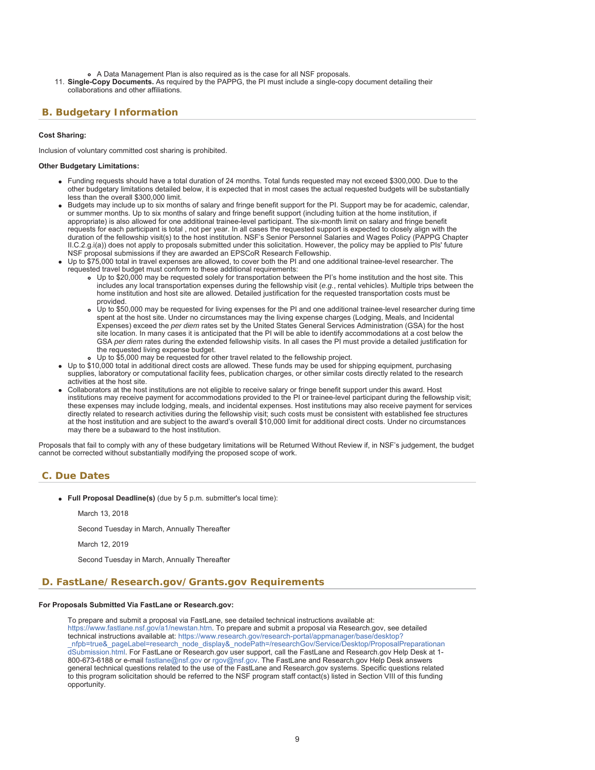A Data Management Plan is also required as is the case for all NSF proposals.

11. **Single-Copy Documents.** As required by the PAPPG, the PI must include a single-copy document detailing their collaborations and other affiliations.

# **B. Budgetary Information**

### **Cost Sharing:**

Inclusion of voluntary committed cost sharing is prohibited.

### **Other Budgetary Limitations:**

- Funding requests should have a total duration of 24 months. Total funds requested may not exceed \$300,000. Due to the other budgetary limitations detailed below, it is expected that in most cases the actual requested budgets will be substantially less than the overall \$300,000 limit.
- Budgets may include up to six months of salary and fringe benefit support for the PI. Support may be for academic, calendar, or summer months. Up to six months of salary and fringe benefit support (including tuition at the home institution, if appropriate) is also allowed for one additional trainee-level participant. The six-month limit on salary and fringe benefit requests for each participant is total , not per year. In all cases the requested support is expected to closely align with the duration of the fellowship visit(s) to the host institution. NSF's Senior Personnel Salaries and Wages Policy (PAPPG Chapter II.C.2.g.i(a)) does not apply to proposals submitted under this solicitation. However, the policy may be applied to PIs' future NSF proposal submissions if they are awarded an EPSCoR Research Fellowship.
- Up to \$75,000 total in travel expenses are allowed, to cover both the PI and one additional trainee-level researcher. The requested travel budget must conform to these additional requirements:
	- Up to \$20,000 may be requested solely for transportation between the PI's home institution and the host site. This includes any local transportation expenses during the fellowship visit (e.g., rental vehicles). Multiple trips between the home institution and host site are allowed. Detailed justification for the requested transportation costs must be provided.
	- Up to \$50,000 may be requested for living expenses for the PI and one additional trainee-level researcher during time spent at the host site. Under no circumstances may the living expense charges (Lodging, Meals, and Incidental Expenses) exceed the *per diem* rates set by the United States General Services Administration (GSA) for the host site location. In many cases it is anticipated that the PI will be able to identify accommodations at a cost below the GSA *per diem* rates during the extended fellowship visits. In all cases the PI must provide a detailed justification for the requested living expense budget.
	- Up to \$5,000 may be requested for other travel related to the fellowship project.
- Up to \$10,000 total in additional direct costs are allowed. These funds may be used for shipping equipment, purchasing supplies, laboratory or computational facility fees, publication charges, or other similar costs directly related to the research activities at the host site.
- Collaborators at the host institutions are not eligible to receive salary or fringe benefit support under this award. Host institutions may receive payment for accommodations provided to the PI or trainee-level participant during the fellowship visit; these expenses may include lodging, meals, and incidental expenses. Host institutions may also receive payment for services directly related to research activities during the fellowship visit; such costs must be consistent with established fee structures at the host institution and are subject to the award's overall \$10,000 limit for additional direct costs. Under no circumstances may there be a subaward to the host institution.

Proposals that fail to comply with any of these budgetary limitations will be Returned Without Review if, in NSF's judgement, the budget cannot be corrected without substantially modifying the proposed scope of work.

# **C. Due Dates**

- **Full Proposal Deadline(s)** (due by 5 p.m. submitter's local time):
	- March 13, 2018

Second Tuesday in March, Annually Thereafter

March 12, 2019

Second Tuesday in March, Annually Thereafter

### **D. FastLane/Research.gov/Grants.gov Requirements**

### **For Proposals Submitted Via FastLane or Research.gov:**

To prepare and submit a proposal via FastLane, see detailed technical instructions available at: https://www.fastlane.nsf.gov/a1/newstan.htm. To prepare and submit a proposal via Research.gov, see detailed technical instructions available at: https://www.research.gov/research-portal/appmanager/base/desktop? nfpb=true&\_pageLabel=research\_node\_display&\_nodePath=/researchGov/Service/Desktop/ProposalPreparationan dSubmission.html. For FastLane or Research.gov user support, call the FastLane and Research.gov Help Desk at 1- 800-673-6188 or e-mail fastlane@nsf.gov or rgov@nsf.gov. The FastLane and Research.gov Help Desk answers general technical questions related to the use of the FastLane and Research.gov systems. Specific questions related to this program solicitation should be referred to the NSF program staff contact(s) listed in Section VIII of this funding opportunity.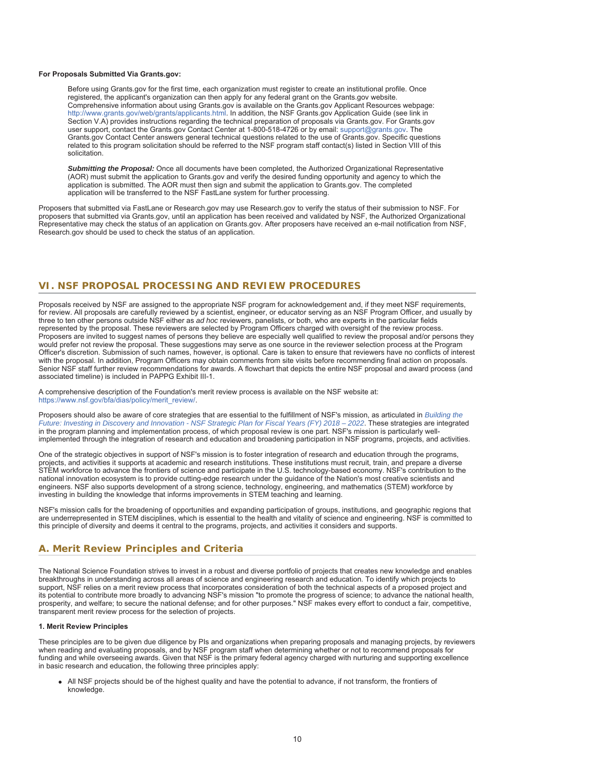### **For Proposals Submitted Via Grants.gov:**

Before using Grants.gov for the first time, each organization must register to create an institutional profile. Once registered, the applicant's organization can then apply for any federal grant on the Grants.gov website. Comprehensive information about using Grants.gov is available on the Grants.gov Applicant Resources webpage: http://www.grants.gov/web/grants/applicants.html. In addition, the NSF Grants.gov Application Guide (see link in Section V.A) provides instructions regarding the technical preparation of proposals via Grants.gov. For Grants.gov user support, contact the Grants.gov Contact Center at 1-800-518-4726 or by email: support@grants.gov. The Grants.gov Contact Center answers general technical questions related to the use of Grants.gov. Specific questions related to this program solicitation should be referred to the NSF program staff contact(s) listed in Section VIII of this solicitation.

*Submitting the Proposal:* Once all documents have been completed, the Authorized Organizational Representative (AOR) must submit the application to Grants.gov and verify the desired funding opportunity and agency to which the application is submitted. The AOR must then sign and submit the application to Grants.gov. The completed application will be transferred to the NSF FastLane system for further processing.

Proposers that submitted via FastLane or Research.gov may use Research.gov to verify the status of their submission to NSF. For proposers that submitted via Grants.gov, until an application has been received and validated by NSF, the Authorized Organizational Representative may check the status of an application on Grants.gov. After proposers have received an e-mail notification from NSF, Research.gov should be used to check the status of an application.

# **VI. NSF PROPOSAL PROCESSING AND REVIEW PROCEDURES**

Proposals received by NSF are assigned to the appropriate NSF program for acknowledgement and, if they meet NSF requirements, for review. All proposals are carefully reviewed by a scientist, engineer, or educator serving as an NSF Program Officer, and usually by three to ten other persons outside NSF either as *ad hoc* reviewers, panelists, or both, who are experts in the particular fields represented by the proposal. These reviewers are selected by Program Officers charged with oversight of the review process. Proposers are invited to suggest names of persons they believe are especially well qualified to review the proposal and/or persons they would prefer not review the proposal. These suggestions may serve as one source in the reviewer selection process at the Program Officer's discretion. Submission of such names, however, is optional. Care is taken to ensure that reviewers have no conflicts of interest with the proposal. In addition, Program Officers may obtain comments from site visits before recommending final action on proposals. Senior NSF staff further review recommendations for awards. A flowchart that depicts the entire NSF proposal and award process (and associated timeline) is included in PAPPG Exhibit III-1.

A comprehensive description of the Foundation's merit review process is available on the NSF website at: https://www.nsf.gov/bfa/dias/policy/merit\_review/.

Proposers should also be aware of core strategies that are essential to the fulfillment of NSF's mission, as articulated in *Building the Future: Investing in Discovery and Innovation - NSF Strategic Plan for Fiscal Years (FY) 2018 – 2022*. These strategies are integrated in the program planning and implementation process, of which proposal review is one part. NSF's mission is particularly wellimplemented through the integration of research and education and broadening participation in NSF programs, projects, and activities.

One of the strategic objectives in support of NSF's mission is to foster integration of research and education through the programs, projects, and activities it supports at academic and research institutions. These institutions must recruit, train, and prepare a diverse STEM workforce to advance the frontiers of science and participate in the U.S. technology-based economy. NSF's contribution to the national innovation ecosystem is to provide cutting-edge research under the guidance of the Nation's most creative scientists and engineers. NSF also supports development of a strong science, technology, engineering, and mathematics (STEM) workforce by investing in building the knowledge that informs improvements in STEM teaching and learning.

NSF's mission calls for the broadening of opportunities and expanding participation of groups, institutions, and geographic regions that are underrepresented in STEM disciplines, which is essential to the health and vitality of science and engineering. NSF is committed to this principle of diversity and deems it central to the programs, projects, and activities it considers and supports.

# **A. Merit Review Principles and Criteria**

The National Science Foundation strives to invest in a robust and diverse portfolio of projects that creates new knowledge and enables breakthroughs in understanding across all areas of science and engineering research and education. To identify which projects to support, NSF relies on a merit review process that incorporates consideration of both the technical aspects of a proposed project and its potential to contribute more broadly to advancing NSF's mission "to promote the progress of science; to advance the national health, prosperity, and welfare; to secure the national defense; and for other purposes." NSF makes every effort to conduct a fair, competitive, transparent merit review process for the selection of projects.

### **1. Merit Review Principles**

These principles are to be given due diligence by PIs and organizations when preparing proposals and managing projects, by reviewers when reading and evaluating proposals, and by NSF program staff when determining whether or not to recommend proposals for funding and while overseeing awards. Given that NSF is the primary federal agency charged with nurturing and supporting excellence in basic research and education, the following three principles apply:

All NSF projects should be of the highest quality and have the potential to advance, if not transform, the frontiers of knowledge.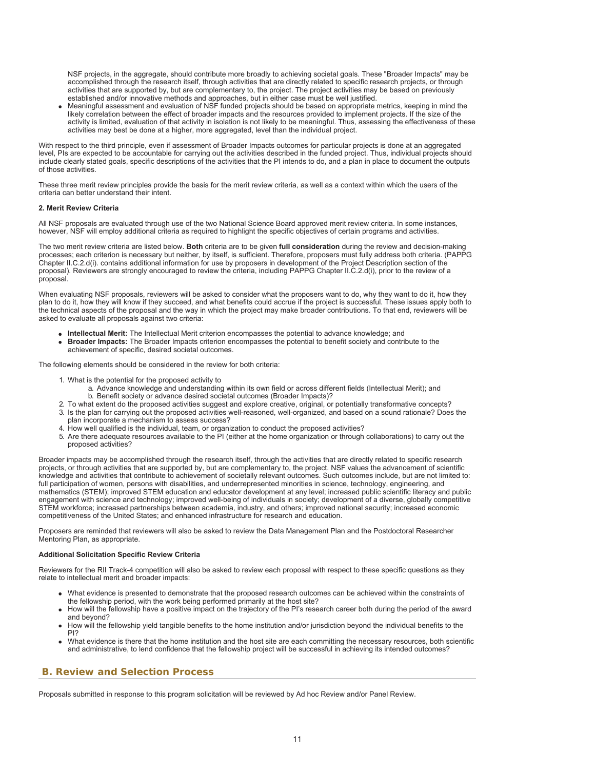NSF projects, in the aggregate, should contribute more broadly to achieving societal goals. These "Broader Impacts" may be accomplished through the research itself, through activities that are directly related to specific research projects, or through activities that are supported by, but are complementary to, the project. The project activities may be based on previously established and/or innovative methods and approaches, but in either case must be well justified.

Meaningful assessment and evaluation of NSF funded projects should be based on appropriate metrics, keeping in mind the likely correlation between the effect of broader impacts and the resources provided to implement projects. If the size of the activity is limited, evaluation of that activity in isolation is not likely to be meaningful. Thus, assessing the effectiveness of these activities may best be done at a higher, more aggregated, level than the individual project.

With respect to the third principle, even if assessment of Broader Impacts outcomes for particular projects is done at an aggregated level, PIs are expected to be accountable for carrying out the activities described in the funded project. Thus, individual projects should include clearly stated goals, specific descriptions of the activities that the PI intends to do, and a plan in place to document the outputs of those activities.

These three merit review principles provide the basis for the merit review criteria, as well as a context within which the users of the criteria can better understand their intent.

### **2. Merit Review Criteria**

All NSF proposals are evaluated through use of the two National Science Board approved merit review criteria. In some instances, however, NSF will employ additional criteria as required to highlight the specific objectives of certain programs and activities.

The two merit review criteria are listed below. **Both** criteria are to be given **full consideration** during the review and decision-making processes; each criterion is necessary but neither, by itself, is sufficient. Therefore, proposers must fully address both criteria. (PAPPG Chapter II.C.2.d(i). contains additional information for use by proposers in development of the Project Description section of the proposal). Reviewers are strongly encouraged to review the criteria, including PAPPG Chapter II.C.2.d(i), prior to the review of a proposal.

When evaluating NSF proposals, reviewers will be asked to consider what the proposers want to do, why they want to do it, how they plan to do it, how they will know if they succeed, and what benefits could accrue if the project is successful. These issues apply both to the technical aspects of the proposal and the way in which the project may make broader contributions. To that end, reviewers will be asked to evaluate all proposals against two criteria:

- **Intellectual Merit:** The Intellectual Merit criterion encompasses the potential to advance knowledge; and
- **Broader Impacts:** The Broader Impacts criterion encompasses the potential to benefit society and contribute to the achievement of specific, desired societal outcomes.

The following elements should be considered in the review for both criteria:

- 1. What is the potential for the proposed activity to
	- a. Advance knowledge and understanding within its own field or across different fields (Intellectual Merit); and b. Benefit society or advance desired societal outcomes (Broader Impacts)?
- 2. To what extent do the proposed activities suggest and explore creative, original, or potentially transformative concepts?
- 3. Is the plan for carrying out the proposed activities well-reasoned, well-organized, and based on a sound rationale? Does the plan incorporate a mechanism to assess success?
- 4. How well qualified is the individual, team, or organization to conduct the proposed activities?
- 5. Are there adequate resources available to the PI (either at the home organization or through collaborations) to carry out the proposed activities?

Broader impacts may be accomplished through the research itself, through the activities that are directly related to specific research projects, or through activities that are supported by, but are complementary to, the project. NSF values the advancement of scientific knowledge and activities that contribute to achievement of societally relevant outcomes. Such outcomes include, but are not limited to: full participation of women, persons with disabilities, and underrepresented minorities in science, technology, engineering, and mathematics (STEM); improved STEM education and educator development at any level; increased public scientific literacy and public engagement with science and technology; improved well-being of individuals in society; development of a diverse, globally competitive STEM workforce; increased partnerships between academia, industry, and others; improved national security; increased economic competitiveness of the United States; and enhanced infrastructure for research and education.

Proposers are reminded that reviewers will also be asked to review the Data Management Plan and the Postdoctoral Researcher Mentoring Plan, as appropriate.

### **Additional Solicitation Specific Review Criteria**

Reviewers for the RII Track-4 competition will also be asked to review each proposal with respect to these specific questions as they relate to intellectual merit and broader impacts:

- What evidence is presented to demonstrate that the proposed research outcomes can be achieved within the constraints of the fellowship period, with the work being performed primarily at the host site?
- How will the fellowship have a positive impact on the trajectory of the PI's research career both during the period of the award and beyond?
- How will the fellowship yield tangible benefits to the home institution and/or jurisdiction beyond the individual benefits to the PI?
- What evidence is there that the home institution and the host site are each committing the necessary resources, both scientific and administrative, to lend confidence that the fellowship project will be successful in achieving its intended outcomes?

# **B. Review and Selection Process**

Proposals submitted in response to this program solicitation will be reviewed by Ad hoc Review and/or Panel Review.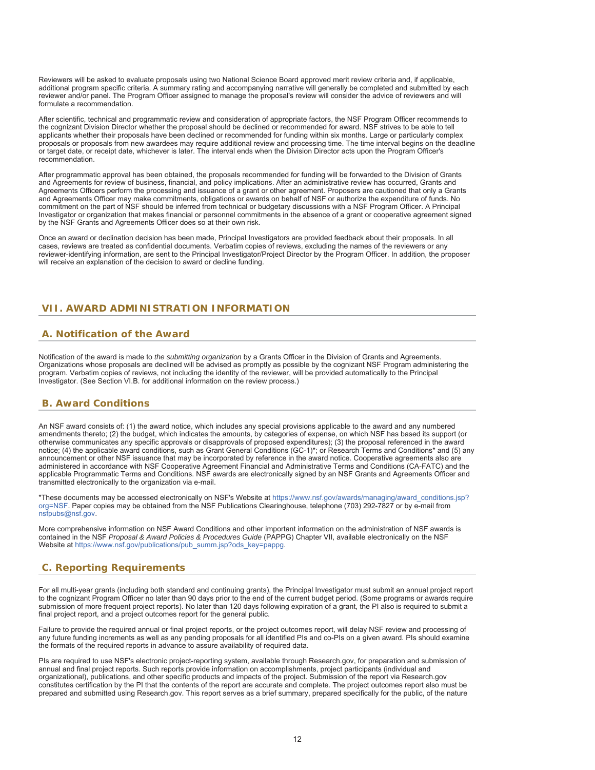Reviewers will be asked to evaluate proposals using two National Science Board approved merit review criteria and, if applicable, additional program specific criteria. A summary rating and accompanying narrative will generally be completed and submitted by each reviewer and/or panel. The Program Officer assigned to manage the proposal's review will consider the advice of reviewers and will formulate a recommendation.

After scientific, technical and programmatic review and consideration of appropriate factors, the NSF Program Officer recommends to the cognizant Division Director whether the proposal should be declined or recommended for award. NSF strives to be able to tell applicants whether their proposals have been declined or recommended for funding within six months. Large or particularly complex proposals or proposals from new awardees may require additional review and processing time. The time interval begins on the deadline or target date, or receipt date, whichever is later. The interval ends when the Division Director acts upon the Program Officer's recommendation.

After programmatic approval has been obtained, the proposals recommended for funding will be forwarded to the Division of Grants and Agreements for review of business, financial, and policy implications. After an administrative review has occurred, Grants and Agreements Officers perform the processing and issuance of a grant or other agreement. Proposers are cautioned that only a Grants and Agreements Officer may make commitments, obligations or awards on behalf of NSF or authorize the expenditure of funds. No commitment on the part of NSF should be inferred from technical or budgetary discussions with a NSF Program Officer. A Principal Investigator or organization that makes financial or personnel commitments in the absence of a grant or cooperative agreement signed by the NSF Grants and Agreements Officer does so at their own risk.

Once an award or declination decision has been made, Principal Investigators are provided feedback about their proposals. In all cases, reviews are treated as confidential documents. Verbatim copies of reviews, excluding the names of the reviewers or any reviewer-identifying information, are sent to the Principal Investigator/Project Director by the Program Officer. In addition, the proposer will receive an explanation of the decision to award or decline funding.

# **VII. AWARD ADMINISTRATION INFORMATION**

# **A. Notification of the Award**

Notification of the award is made to *the submitting organization* by a Grants Officer in the Division of Grants and Agreements. Organizations whose proposals are declined will be advised as promptly as possible by the cognizant NSF Program administering the program. Verbatim copies of reviews, not including the identity of the reviewer, will be provided automatically to the Principal Investigator. (See Section VI.B. for additional information on the review process.)

# **B. Award Conditions**

An NSF award consists of: (1) the award notice, which includes any special provisions applicable to the award and any numbered amendments thereto; (2) the budget, which indicates the amounts, by categories of expense, on which NSF has based its support (or otherwise communicates any specific approvals or disapprovals of proposed expenditures); (3) the proposal referenced in the award notice; (4) the applicable award conditions, such as Grant General Conditions (GC-1)\*; or Research Terms and Conditions\* and (5) any announcement or other NSF issuance that may be incorporated by reference in the award notice. Cooperative agreements also are administered in accordance with NSF Cooperative Agreement Financial and Administrative Terms and Conditions (CA-FATC) and the applicable Programmatic Terms and Conditions. NSF awards are electronically signed by an NSF Grants and Agreements Officer and transmitted electronically to the organization via e-mail.

\*These documents may be accessed electronically on NSF's Website at https://www.nsf.gov/awards/managing/award\_conditions.jsp? org=NSF. Paper copies may be obtained from the NSF Publications Clearinghouse, telephone (703) 292-7827 or by e-mail from nsfpubs@nsf.gov.

More comprehensive information on NSF Award Conditions and other important information on the administration of NSF awards is contained in the NSF *Proposal & Award Policies & Procedures Guide* (PAPPG) Chapter VII, available electronically on the NSF Website at https://www.nsf.gov/publications/pub\_summ.jsp?ods\_key=pappg.

# **C. Reporting Requirements**

For all multi-year grants (including both standard and continuing grants), the Principal Investigator must submit an annual project report to the cognizant Program Officer no later than 90 days prior to the end of the current budget period. (Some programs or awards require submission of more frequent project reports). No later than 120 days following expiration of a grant, the PI also is required to submit a final project report, and a project outcomes report for the general public.

Failure to provide the required annual or final project reports, or the project outcomes report, will delay NSF review and processing of any future funding increments as well as any pending proposals for all identified PIs and co-PIs on a given award. PIs should examine the formats of the required reports in advance to assure availability of required data.

PIs are required to use NSF's electronic project-reporting system, available through Research.gov, for preparation and submission of annual and final project reports. Such reports provide information on accomplishments, project participants (individual and organizational), publications, and other specific products and impacts of the project. Submission of the report via Research.gov constitutes certification by the PI that the contents of the report are accurate and complete. The project outcomes report also must be prepared and submitted using Research.gov. This report serves as a brief summary, prepared specifically for the public, of the nature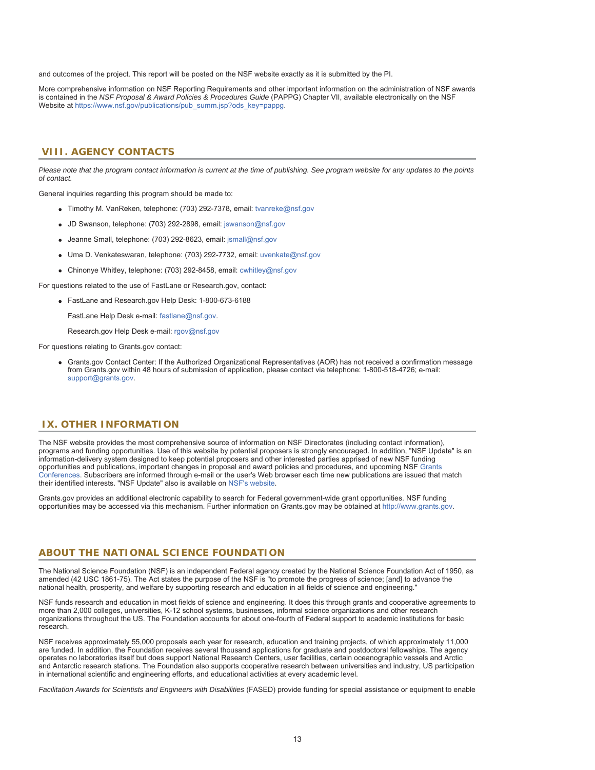and outcomes of the project. This report will be posted on the NSF website exactly as it is submitted by the PI.

More comprehensive information on NSF Reporting Requirements and other important information on the administration of NSF awards is contained in the *NSF Proposal & Award Policies & Procedures Guide* (PAPPG) Chapter VII, available electronically on the NSF Website at https://www.nsf.gov/publications/pub\_summ.jsp?ods\_key=pappg.

# **VIII. AGENCY CONTACTS**

*Please note that the program contact information is current at the time of publishing. See program website for any updates to the points of contact.*

General inquiries regarding this program should be made to:

- Timothy M. VanReken, telephone: (703) 292-7378, email: tvanreke@nsf.gov
- JD Swanson, telephone: (703) 292-2898, email: jswanson@nsf.gov
- Jeanne Small, telephone: (703) 292-8623, email: jsmall@nsf.gov
- Uma D. Venkateswaran, telephone: (703) 292-7732, email: uvenkate@nsf.gov
- Chinonye Whitley, telephone: (703) 292-8458, email: cwhitley@nsf.gov

For questions related to the use of FastLane or Research.gov, contact:

- FastLane and Research.gov Help Desk: 1-800-673-6188
	- FastLane Help Desk e-mail: fastlane@nsf.gov.

Research.gov Help Desk e-mail: rgov@nsf.gov

For questions relating to Grants.gov contact:

Grants.gov Contact Center: If the Authorized Organizational Representatives (AOR) has not received a confirmation message from Grants.gov within 48 hours of submission of application, please contact via telephone: 1-800-518-4726; e-mail: support@grants.gov.

### **IX. OTHER INFORMATION**

The NSF website provides the most comprehensive source of information on NSF Directorates (including contact information), programs and funding opportunities. Use of this website by potential proposers is strongly encouraged. In addition, "NSF Update" is an information-delivery system designed to keep potential proposers and other interested parties apprised of new NSF funding opportunities and publications, important changes in proposal and award policies and procedures, and upcoming NSF Grants Conferences. Subscribers are informed through e-mail or the user's Web browser each time new publications are issued that match their identified interests. "NSF Update" also is available on NSF's website.

Grants.gov provides an additional electronic capability to search for Federal government-wide grant opportunities. NSF funding opportunities may be accessed via this mechanism. Further information on Grants.gov may be obtained at http://www.grants.gov.

### **ABOUT THE NATIONAL SCIENCE FOUNDATION**

The National Science Foundation (NSF) is an independent Federal agency created by the National Science Foundation Act of 1950, as amended (42 USC 1861-75). The Act states the purpose of the NSF is "to promote the progress of science; [and] to advance the national health, prosperity, and welfare by supporting research and education in all fields of science and engineering."

NSF funds research and education in most fields of science and engineering. It does this through grants and cooperative agreements to more than 2,000 colleges, universities, K-12 school systems, businesses, informal science organizations and other research organizations throughout the US. The Foundation accounts for about one-fourth of Federal support to academic institutions for basic research.

NSF receives approximately 55,000 proposals each year for research, education and training projects, of which approximately 11,000 are funded. In addition, the Foundation receives several thousand applications for graduate and postdoctoral fellowships. The agency operates no laboratories itself but does support National Research Centers, user facilities, certain oceanographic vessels and Arctic and Antarctic research stations. The Foundation also supports cooperative research between universities and industry, US participation in international scientific and engineering efforts, and educational activities at every academic level.

*Facilitation Awards for Scientists and Engineers with Disabilities* (FASED) provide funding for special assistance or equipment to enable